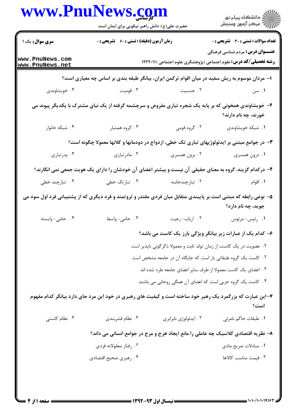|                                                                                                                  | حضرت علی(ع): دانش راهبر نیکویی برای ایمان است                                                            |                                                                                                                   | ڪ دانشڪاه پيام نور<br>ر∕⊂ مرڪز آزمون وسنڊش                                        |
|------------------------------------------------------------------------------------------------------------------|----------------------------------------------------------------------------------------------------------|-------------------------------------------------------------------------------------------------------------------|-----------------------------------------------------------------------------------|
| <b>سری سوال :</b> یک ۱                                                                                           | زمان آزمون (دقیقه) : تستی : 60 گشریحی : 0                                                                |                                                                                                                   | <b>تعداد سوالات : تستی : 30 ٪ تشریحی : 0</b>                                      |
| www.PnuNews.com<br>www.PnuNews.net                                                                               |                                                                                                          | <b>عنـــوان درس:</b> مردم شناسی فرهنگی<br><b>رشته تحصیلی/کد درس:</b> علوم اجتماعی (پژوهشگری علوم اجتماعی )۱۲۲۲۰۱۱ |                                                                                   |
|                                                                                                                  | ا– مردان موسوم به ریش سفید در میان اقوام ترکمن ایران، بیانگر طبقه بندی بر اساس چه معیاری است؟            |                                                                                                                   |                                                                                   |
| ۰۴ خویشاوندی                                                                                                     | ۰۳ قومیت                                                                                                 | ۰۲ جنسیت                                                                                                          | ۰۱ سن                                                                             |
|                                                                                                                  | ۲- خویشاوندی همخونی که بر پایه یک شجره تباری مفروض و سرچشمه گرفته از یک نیای مشترک با یکدیگر پیوند می    |                                                                                                                   | خورند، چه نام دارند؟                                                              |
| ۰۴ شبکه خانوار                                                                                                   | ۰۳ گروه همتبار                                                                                           | ۲. گروه قومی                                                                                                      | ۰۱ شبکه خویشاوندی                                                                 |
|                                                                                                                  | ۳- در جوامع مبتنی بر ایدئولوژیهای تباری تک خطی، ازدواج در دودمانها و کلانها معمولا چگونه است؟            |                                                                                                                   |                                                                                   |
| ۰۴ پدرتباری                                                                                                      | ۰۳ مادرتباری                                                                                             | ۰۲ برون همسری                                                                                                     | ۰۱ درون همسری                                                                     |
|                                                                                                                  | ۴– درکدام گزینه، گروه به معنای حقیقی آن نیست و بیشتر اعضای آن خودشان را دارای یک هویت جمعی نمی انگارند؟  |                                                                                                                   |                                                                                   |
| ۰۴ تبارچند خطی                                                                                                   | ۰۳ تبارتک خطی                                                                                            | ۰۲ تبارچندجانبه                                                                                                   | ۰۱ اقوام                                                                          |
| ۵– نوعی رابطه که مبتنی است بر پایبندی متقابل میان فردی مقتدر و ثروتمند و فرد دیگری که از پشتیبانی فرد اول سود می |                                                                                                          |                                                                                                                   | جويد، چه نام دارد؟                                                                |
| ۰۴ حامی- وابسته                                                                                                  | ۰۳ حامی- واسط                                                                                            | ۰۲ ارباب- رعيت                                                                                                    | ۰۱ رئيس- مرئوس                                                                    |
|                                                                                                                  |                                                                                                          |                                                                                                                   | ۶- کدام یک از عبارات زیر بیانگر ویژگی بارز یک کاست می باشد؟                       |
|                                                                                                                  |                                                                                                          | ۰۱ عضویت در یک کاست، از زمان تولد ثابت و معمولا دگرگونی ناپذیر است                                                |                                                                                   |
|                                                                                                                  | ٢. كاست يك گروه طبقاتي باز است كه جايگاه آن در جامعه مشخص است                                            |                                                                                                                   |                                                                                   |
|                                                                                                                  | ۰۳ اعضای یک کاست معمولا از طرف سایر اعضای جامعه طرد شده اند                                              |                                                                                                                   |                                                                                   |
|                                                                                                                  |                                                                                                          | ۰۴ کاست یک گروه حزبی است که اعضای آن همگی روحانی می باشند                                                         |                                                                                   |
|                                                                                                                  | ۷-این عبارت که بزرگمرد یک رهبر خود ساخته است و کیفیت های رهبری در خود این مرد جای دارد بیانگر کدام مفهوم |                                                                                                                   | است؟                                                                              |
| ۰۴ نظام کاستی                                                                                                    | ۰۳ نظام قشربندی                                                                                          | ۰۲ ايدئولوژي نابرابري                                                                                             | ٠١ طبقات حاكم نامرئي                                                              |
|                                                                                                                  |                                                                                                          |                                                                                                                   | ۸– نظریه اقتصادی کلاسیک چه عاملی را مانع ایجاد هرج و مرج در جوامع انسانی می داند؟ |
|                                                                                                                  | ۰۲ رفتار معقولانه فردي                                                                                   |                                                                                                                   | ٠١. مبادلات صريح مادي                                                             |
|                                                                                                                  | ۰۴ رهبري صحيح اقتصادي                                                                                    |                                                                                                                   | ٠٣ قيمت مناسب كالاها                                                              |

**17**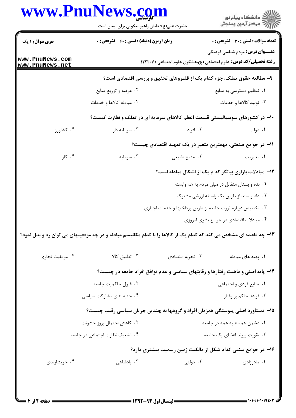|                                    | حضرت علی(ع): دانش راهبر نیکویی برای ایمان است                                                                       |                                                              | ِ دانشڪاه پيا <sub>م</sub> نور<br>/∕ مرڪز آزمون وسنڊش                                                             |  |
|------------------------------------|---------------------------------------------------------------------------------------------------------------------|--------------------------------------------------------------|-------------------------------------------------------------------------------------------------------------------|--|
| سری سوال: ۱ یک                     | <b>زمان آزمون (دقیقه) : تستی : 60 ٪ تشریحی : 0</b>                                                                  |                                                              | <b>تعداد سوالات : تستی : 30 ٪ تشریحی : 0</b>                                                                      |  |
| www.PnuNews.com<br>www.PnuNews.net |                                                                                                                     |                                                              | <b>عنـــوان درس:</b> مردم شناسی فرهنگی<br><b>رشته تحصیلی/کد درس:</b> علوم اجتماعی (پژوهشگری علوم اجتماعی )۱۲۲۲۰۱۱ |  |
|                                    | ۹- مطالعه حقوق تملک، جزء کدام یک از قلمروهای تحقیق و بررسی اقتصادی است؟                                             |                                                              |                                                                                                                   |  |
|                                    | ۰۲ عرضه و توزیع منابع                                                                                               |                                                              | ۰۱ تنظیم دسترسی به منابع                                                                                          |  |
|                                    | ۰۴ مبادله کالاها و خدمات                                                                                            |                                                              | ۰۳ تولید کالاها و خدمات                                                                                           |  |
|                                    | ∙۱- در کشورهای سوسیالیستی قسمت اعظم کالاهای سرمایه ای در تملک و نظارت کیست؟                                         |                                                              |                                                                                                                   |  |
| ۰۴ کشاورز                          | ۰۳ سرمايه دار                                                                                                       | ۰۲ افراد                                                     | ۰۱ دولت                                                                                                           |  |
|                                    |                                                                                                                     | 1۱– در جوامع صنعتی، مهمترین متغیر در یک تمهید اقتصادی چیست؟  |                                                                                                                   |  |
| ۰۴ کار                             | ۰۳ سرمایه                                                                                                           | ٠٢ منابع طبيعي                                               | ۰۱ مدیریت                                                                                                         |  |
|                                    |                                                                                                                     | ۱۲- مبادلات بازاری بیانگر کدام یک از اشکال مبادله است؟       |                                                                                                                   |  |
|                                    |                                                                                                                     |                                                              | ۰۱ بده و بستان متقابل در میان مردم به هم وابسته                                                                   |  |
|                                    |                                                                                                                     |                                                              | ۰۲ داد و ستد از طریق یک واسطه ارزشی مشترک                                                                         |  |
|                                    | ۰۳ تخصیص دوباره ثروت جامعه از طریق پرداختها و خدمات اجباری                                                          |                                                              |                                                                                                                   |  |
|                                    |                                                                                                                     |                                                              | ۰۴ مبادلات اقتصادي در جوامع بشري امروزي                                                                           |  |
|                                    | ۱۳- چه قاعده ای مشخص می کند که کدام یک از کالاها را با کدام مکانیسم مبادله و در چه موقعیتهای می توان رد و بدل نمود؟ |                                                              |                                                                                                                   |  |
| ۰۴ موفقيت تجاري                    | ۰۳ تطبیق کالا                                                                                                       | ۰۲ تجربه اقتصادي                                             | ٠١. پهنه های مبادله                                                                                               |  |
|                                    | ۱۴- پایه اصلی و ماهیت رفتارها و رقابتهای سیاسی و عدم توافق افراد جامعه در چیست؟                                     |                                                              |                                                                                                                   |  |
|                                    | ٢. قبول حاكميت جامعه                                                                                                |                                                              | ۰۱ منابع فردی و اجتماعی                                                                                           |  |
|                                    | ۰۴ جنبه های مشارکت سیاسی                                                                                            |                                                              | ۰۳ قواعد حاكم بر رفتار                                                                                            |  |
|                                    | ۱۵– دستاورد اصلی پیوستگی همزمان افراد و گروهها به چندین جریان سیاسی رقیب چیست؟                                      |                                                              |                                                                                                                   |  |
|                                    | ۰۲ کاهش احتمال بروز خشونت                                                                                           |                                                              | ۰۱ دشمن همه علیه همه در جامعه                                                                                     |  |
|                                    | ۰۴ تضعیف نظارت اجتماعی در جامعه                                                                                     | ۰۳ تقویت پیوند اعضای یک جامعه                                |                                                                                                                   |  |
|                                    |                                                                                                                     | ۱۶– در جوامع سنتی کدام شکل از مالکیت زمین رسمیت بیشتری دارد؟ |                                                                                                                   |  |
|                                    |                                                                                                                     |                                                              |                                                                                                                   |  |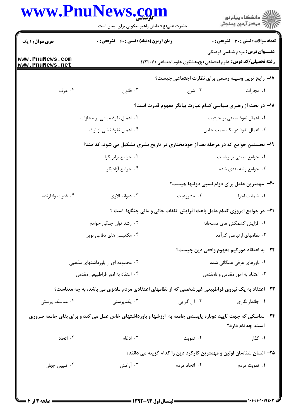|                                    | حضرت علی(ع): دانش راهبر نیکویی برای ایمان است                                                               |                                                                                 | ِ<br>∭ دانشڪاه پيام نور<br>∭ مرڪز آزمون وسنڊش                                                                     |  |
|------------------------------------|-------------------------------------------------------------------------------------------------------------|---------------------------------------------------------------------------------|-------------------------------------------------------------------------------------------------------------------|--|
| <b>سری سوال : ۱ یک</b>             | زمان آزمون (دقیقه) : تستی : ۶۰٪ تشریحی : ۰                                                                  |                                                                                 | <b>تعداد سوالات : تستی : 30 ٪ تشریحی : 0</b>                                                                      |  |
| www.PnuNews.com<br>www.PnuNews.net |                                                                                                             |                                                                                 | <b>عنـــوان درس:</b> مردم شناسی فرهنگی<br><b>رشته تحصیلی/کد درس:</b> علوم اجتماعی (پژوهشگری علوم اجتماعی )۱۲۲۲۰۱۱ |  |
|                                    |                                                                                                             | ۱۷- رایج ترین وسیله رسمی برای نظارت اجتماعی چیست؟                               |                                                                                                                   |  |
| ۰۴ عرف                             | ۰۳ قانون                                                                                                    | ۲. شرع                                                                          | ۰۱ مجازات                                                                                                         |  |
|                                    |                                                                                                             | <b>۱۸</b> - در بحث از رهبری سیاسی کدام عبارت بیانگر مفهوم قدرت است؟             |                                                                                                                   |  |
|                                    | ۲. اعمال نفوذ مبتنی بر مجازات                                                                               |                                                                                 | ۰۱ اعمال نفوذ مبتنی بر حیثیت                                                                                      |  |
|                                    | ۰۴ اعمال نفوذ ناشی از ارث                                                                                   |                                                                                 | ۰۳ اعمال نفوذ در یک سمت خاص                                                                                       |  |
|                                    | ۱۹- نخستین جوامع که در مرحله بعد از خودمختاری در تاریخ بشری تشکیل می شود، کدامند؟                           |                                                                                 |                                                                                                                   |  |
|                                    | ۰۲ جوامع برابريگرا                                                                                          |                                                                                 | ٠١ جوامع مبتنى بر رياست                                                                                           |  |
|                                    | ۰۴ جوامع آزاديگرا                                                                                           |                                                                                 | ۰۳ جوامع رتبه بندی شده                                                                                            |  |
|                                    |                                                                                                             |                                                                                 | <b>۰۲۰</b> مهمترین عامل برای دوام نسبی دولتها چیست؟                                                               |  |
| ۰۴ قدرت وادارنده                   | ۰۳ دیوانسالاری                                                                                              | ۰۲ مشروعیت                                                                      | ۰۱ ضمانت اجرا                                                                                                     |  |
|                                    |                                                                                                             | <b>۲۱</b> - در جوامع امروزی کدام عامل باعث افزایش تلفات جانی و مالی جنگها است ؟ |                                                                                                                   |  |
|                                    | ۰۲ رشد توان جنگی جوامع                                                                                      | ٠١ افزايش كشمكش هاى مسلحانه                                                     |                                                                                                                   |  |
|                                    | ۰۴ مکانیسم های دفاعی نوین                                                                                   |                                                                                 | ۰۳ نظامهای ارتباطی کارآمد                                                                                         |  |
|                                    |                                                                                                             |                                                                                 | <b>۲۲</b> – به اعتقاد دورکیم مفهوم واقعی دین چیست؟                                                                |  |
|                                    | ۰۲ مجموعه ای از باورداشتهای مذهبی                                                                           | ۰۱ باورهای عرفی همگانی شده                                                      |                                                                                                                   |  |
|                                    | ۰۴ اعتقاد به امور فراطبیعی مقدس                                                                             |                                                                                 | ۰۳ اعتقاد به امور مقدس و نامقدس                                                                                   |  |
|                                    | ۲۳- اعتقاد به یک نیروی فراطبیعی غیرشخصی که از نظامهای اعتقادی مردم ملانزی می باشد، به چه معناست؟            |                                                                                 |                                                                                                                   |  |
| ۰۴ مناسک پرستی                     | ۰۳ یکتاپرستی                                                                                                | ۰۲ آن گرایی                                                                     | ۰۱ جاندارانگاری                                                                                                   |  |
|                                    | ۲۴- مناسکی که جهت تایید دوباره پایبندی جامعه به ارزشها و باورداشتهای خاص عمل می کند و برای بقای جامعه ضروری |                                                                                 | است، چه نام دارد؟                                                                                                 |  |
| ۰۴ اتحاد                           | ۰۳ ادغام                                                                                                    | ۰۲ تقویت                                                                        | ۰۱ گذار                                                                                                           |  |
|                                    |                                                                                                             | ۲۵– انسان شناسان اولین و مهمترین کارکرد دین را کدام گزینه می دانند؟             |                                                                                                                   |  |
| ۰۴ تبيين جهان                      | ۰۳ آرامش                                                                                                    | ۰۲ اتحاد مردم                                                                   | ۰۱ تقويت مردم                                                                                                     |  |